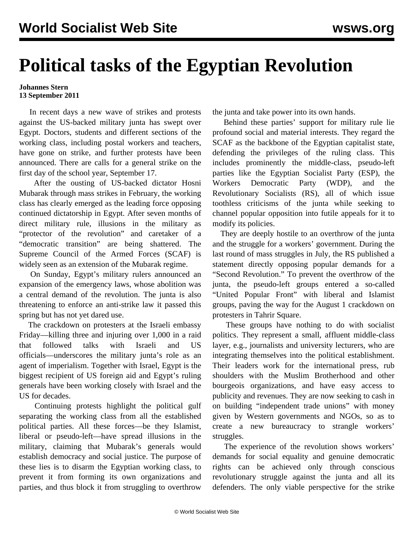## **Political tasks of the Egyptian Revolution**

## **Johannes Stern 13 September 2011**

 In recent days a new wave of strikes and protests against the US-backed military junta has swept over Egypt. Doctors, students and different sections of the working class, including postal workers and teachers, have gone on strike, and further protests have been announced. There are calls for a general strike on the first day of the school year, September 17.

 After the ousting of US-backed dictator Hosni Mubarak through mass strikes in February, the working class has clearly emerged as the leading force opposing continued dictatorship in Egypt. After seven months of direct military rule, illusions in the military as "protector of the revolution" and caretaker of a "democratic transition" are being shattered. The Supreme Council of the Armed Forces (SCAF) is widely seen as an extension of the Mubarak regime.

 On Sunday, Egypt's military rulers announced an expansion of the emergency laws, whose abolition was a central demand of the revolution. The junta is also threatening to enforce an anti-strike law it passed this spring but has not yet dared use.

 The crackdown on protesters at the Israeli embassy Friday—killing three and injuring over 1,000 in a raid that followed talks with Israeli and US officials—underscores the military junta's role as an agent of imperialism. Together with Israel, Egypt is the biggest recipient of US foreign aid and Egypt's ruling generals have been working closely with Israel and the US for decades.

 Continuing protests highlight the political gulf separating the working class from all the established political parties. All these forces—be they Islamist, liberal or pseudo-left—have spread illusions in the military, claiming that Mubarak's generals would establish democracy and social justice. The purpose of these lies is to disarm the Egyptian working class, to prevent it from forming its own organizations and parties, and thus block it from struggling to overthrow

the junta and take power into its own hands.

 Behind these parties' support for military rule lie profound social and material interests. They regard the SCAF as the backbone of the Egyptian capitalist state, defending the privileges of the ruling class. This includes prominently the middle-class, pseudo-left parties like the Egyptian Socialist Party (ESP), the Workers Democratic Party (WDP), and the Revolutionary Socialists (RS), all of which issue toothless criticisms of the junta while seeking to channel popular opposition into futile appeals for it to modify its policies.

 They are deeply hostile to an overthrow of the junta and the struggle for a workers' government. During the last round of mass struggles in July, the RS published a statement directly opposing popular demands for a "Second Revolution." To prevent the overthrow of the junta, the pseudo-left groups entered a so-called "United Popular Front" with liberal and Islamist groups, paving the way for the August 1 crackdown on protesters in Tahrir Square.

 These groups have nothing to do with socialist politics. They represent a small, affluent middle-class layer, e.g., journalists and university lecturers, who are integrating themselves into the political establishment. Their leaders work for the international press, rub shoulders with the Muslim Brotherhood and other bourgeois organizations, and have easy access to publicity and revenues. They are now seeking to cash in on building "independent trade unions" with money given by Western governments and NGOs, so as to create a new bureaucracy to strangle workers' struggles.

 The experience of the revolution shows workers' demands for social equality and genuine democratic rights can be achieved only through conscious revolutionary struggle against the junta and all its defenders. The only viable perspective for the strike